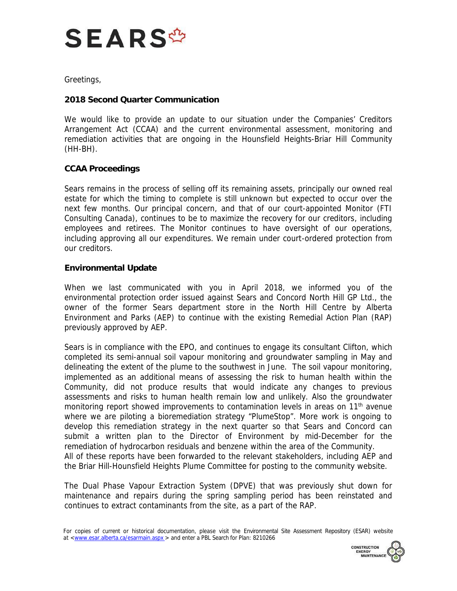

Greetings,

## **2018 Second Quarter Communication**

 We would like to provide an update to our situation under the Companies' Creditors Arrangement Act (CCAA) and the current environmental assessment, monitoring and remediation activities that are ongoing in the Hounsfield Heights-Briar Hill Community (HH-BH).

## **CCAA Proceedings**

 Sears remains in the process of selling off its remaining assets, principally our owned real next few months. Our principal concern, and that of our court-appointed Monitor (FTI Consulting Canada), continues to be to maximize the recovery for our creditors, including employees and retirees. The Monitor continues to have oversight of our operations, including approving all our expenditures. We remain under court-ordered protection from estate for which the timing to complete is still unknown but expected to occur over the our creditors.

## **Environmental Update**

 When we last communicated with you in April 2018, we informed you of the environmental protection order issued against Sears and Concord North Hill GP Ltd., the owner of the former Sears department store in the North Hill Centre by Alberta Environment and Parks (AEP) to continue with the existing Remedial Action Plan (RAP) previously approved by AEP.

 Sears is in compliance with the EPO, and continues to engage its consultant Clifton, which completed its semi-annual soil vapour monitoring and groundwater sampling in May and delineating the extent of the plume to the southwest in June. The soil vapour monitoring, implemented as an additional means of assessing the risk to human health within the Community, did not produce results that would indicate any changes to previous assessments and risks to human health remain low and unlikely. Also the groundwater monitoring report showed improvements to contamination levels in areas on 11<sup>th</sup> avenue where we are piloting a bioremediation strategy "PlumeStop". More work is ongoing to develop this remediation strategy in the next quarter so that Sears and Concord can submit a written plan to the Director of Environment by mid-December for the remediation of hydrocarbon residuals and benzene within the area of the Community. All of these reports have been forwarded to the relevant stakeholders, including AEP and the Briar Hill-Hounsfield Heights Plume Committee for posting to the community website.

 The Dual Phase Vapour Extraction System (DPVE) that was previously shut down for maintenance and repairs during the spring sampling period has been reinstated and continues to extract contaminants from the site, as a part of the RAP.

For copies of current or historical documentation, please visit the Environmental Site Assessment Repository (ESAR) website at [<www.esar.alberta.ca/esarmain.aspx](www.esar.alberta.ca/esarmain.aspx) > and enter a PBL Search for Plan: 8210266